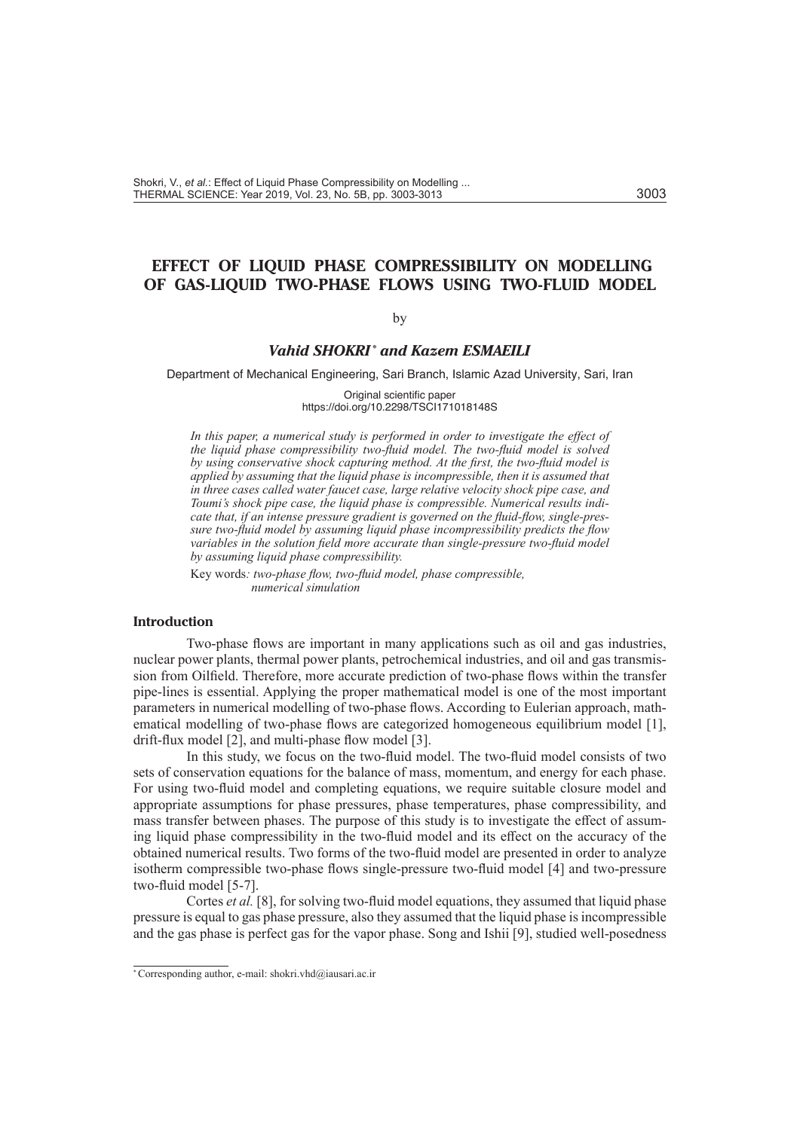# **EFFECT OF LIQUID PHASE COMPRESSIBILITY ON MODELLING OF GAS-LIQUID TWO-PHASE FLOWS USING TWO-FLUID MODEL**

# by

# *Vahid SHOKRI \* and Kazem ESMAEILI*

Department of Mechanical Engineering, Sari Branch, Islamic Azad University, Sari, Iran

Original scientific paper https://doi.org/10.2298/TSCI171018148S

In this paper, a numerical study is performed in order to investigate the effect of *the liquid phase compressibility two-fluid model. The two-fluid model is solved by using conservative shock capturing method. At the first, the two-fluid model is applied by assuming that the liquid phase is incompressible, then it is assumed that in three cases called water faucet case, large relative velocity shock pipe case, and Toumi's shock pipe case, the liquid phase is compressible. Numerical results indicate that, if an intense pressure gradient is governed on the fluid-flow, single-pressure two-fluid model by assuming liquid phase incompressibility predicts the flow variables in the solution field more accurate than single-pressure two-fluid model by assuming liquid phase compressibility.*

Key words*: two-phase flow, two-fluid model, phase compressible, numerical simulation*

# **Introduction**

Two-phase flows are important in many applications such as oil and gas industries, nuclear power plants, thermal power plants, petrochemical industries, and oil and gas transmission from Oilfield. Therefore, more accurate prediction of two-phase flows within the transfer pipe-lines is essential. Applying the proper mathematical model is one of the most important parameters in numerical modelling of two-phase flows. According to Eulerian approach, mathematical modelling of two-phase flows are categorized homogeneous equilibrium model [1], drift-flux model [2], and multi-phase flow model [3].

In this study, we focus on the two-fluid model. The two-fluid model consists of two sets of conservation equations for the balance of mass, momentum, and energy for each phase. For using two-fluid model and completing equations, we require suitable closure model and appropriate assumptions for phase pressures, phase temperatures, phase compressibility, and mass transfer between phases. The purpose of this study is to investigate the effect of assuming liquid phase compressibility in the two-fluid model and its effect on the accuracy of the obtained numerical results. Two forms of the two-fluid model are presented in order to analyze isotherm compressible two-phase flows single-pressure two-fluid model [4] and two-pressure two-fluid model [5-7].

Cortes *et al.* [8], for solving two-fluid model equations, they assumed that liquid phase pressure is equal to gas phase pressure, also they assumed that the liquid phase is incompressible and the gas phase is perfect gas for the vapor phase. Song and Ishii [9], studied well-posedness

<sup>\*</sup> Corresponding author, e-mail: shokri.vhd@iausari.ac.ir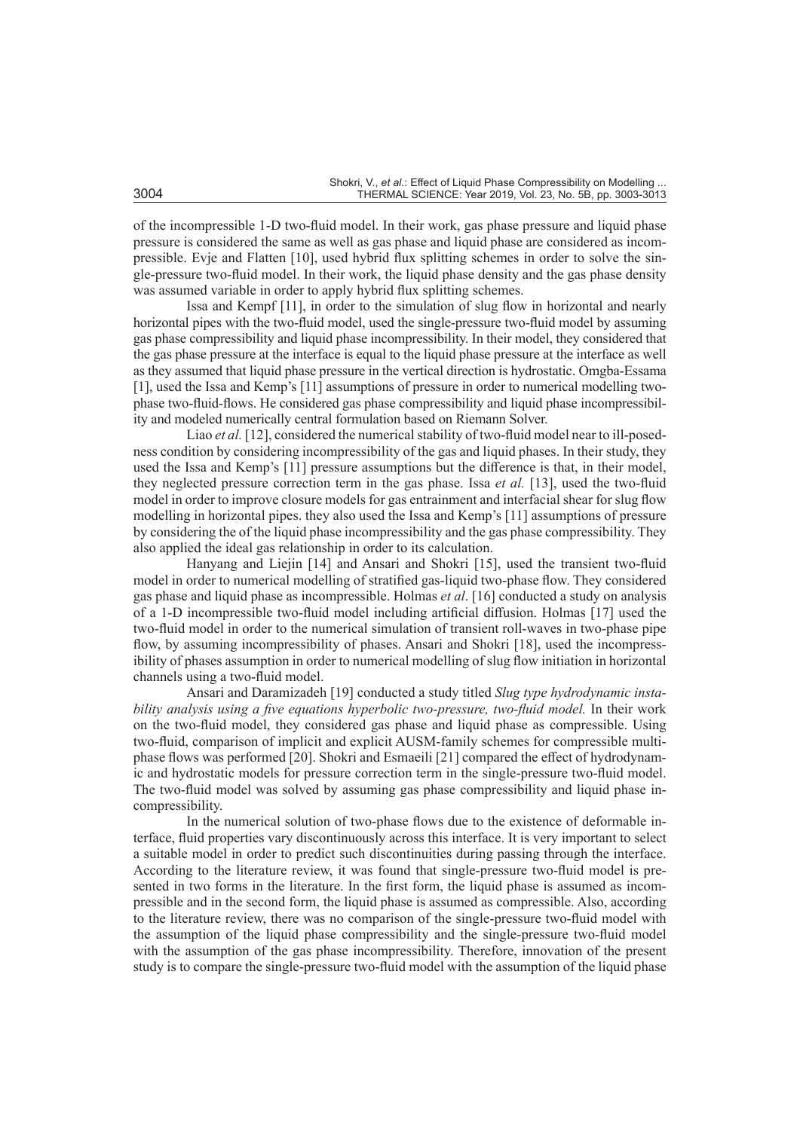of the incompressible 1-D two-fluid model. In their work, gas phase pressure and liquid phase pressure is considered the same as well as gas phase and liquid phase are considered as incompressible. Evje and Flatten [10], used hybrid flux splitting schemes in order to solve the single-pressure two-fluid model. In their work, the liquid phase density and the gas phase density was assumed variable in order to apply hybrid flux splitting schemes.

Issa and Kempf [11], in order to the simulation of slug flow in horizontal and nearly horizontal pipes with the two-fluid model, used the single-pressure two-fluid model by assuming gas phase compressibility and liquid phase incompressibility. In their model, they considered that the gas phase pressure at the interface is equal to the liquid phase pressure at the interface as well as they assumed that liquid phase pressure in the vertical direction is hydrostatic. Omgba-Essama [1], used the Issa and Kemp's [11] assumptions of pressure in order to numerical modelling twophase two-fluid-flows. He considered gas phase compressibility and liquid phase incompressibility and modeled numerically central formulation based on Riemann Solver.

Liao *et al.* [12], considered the numerical stability of two-fluid model near to ill-posedness condition by considering incompressibility of the gas and liquid phases. In their study, they used the Issa and Kemp's [11] pressure assumptions but the difference is that, in their model, they neglected pressure correction term in the gas phase. Issa *et al.* [13], used the two-fluid model in order to improve closure models for gas entrainment and interfacial shear for slug flow modelling in horizontal pipes. they also used the Issa and Kemp's [11] assumptions of pressure by considering the of the liquid phase incompressibility and the gas phase compressibility. They also applied the ideal gas relationship in order to its calculation.

Hanyang and Liejin [14] and Ansari and Shokri [15], used the transient two-fluid model in order to numerical modelling of stratified gas-liquid two-phase flow. They considered gas phase and liquid phase as incompressible. Holmas *et al*. [16] conducted a study on analysis of a 1-D incompressible two-fluid model including artificial diffusion. Holmas [17] used the two-fluid model in order to the numerical simulation of transient roll-waves in two-phase pipe flow, by assuming incompressibility of phases. Ansari and Shokri [18], used the incompressibility of phases assumption in order to numerical modelling of slug flow initiation in horizontal channels using a two-fluid model.

Ansari and Daramizadeh [19] conducted a study titled *Slug type hydrodynamic insta*bility analysis using a five equations hyperbolic two-pressure, two-fluid model. In their work on the two-fluid model, they considered gas phase and liquid phase as compressible. Using two-fluid, comparison of implicit and explicit AUSM-family schemes for compressible multiphase flows was performed [20]. Shokri and Esmaeili [21] compared the effect of hydrodynamic and hydrostatic models for pressure correction term in the single-pressure two-fluid model. The two-fluid model was solved by assuming gas phase compressibility and liquid phase incompressibility.

In the numerical solution of two-phase flows due to the existence of deformable interface, fluid properties vary discontinuously across this interface. It is very important to select a suitable model in order to predict such discontinuities during passing through the interface. According to the literature review, it was found that single-pressure two-fluid model is presented in two forms in the literature. In the first form, the liquid phase is assumed as incompressible and in the second form, the liquid phase is assumed as compressible. Also, according to the literature review, there was no comparison of the single-pressure two-fluid model with the assumption of the liquid phase compressibility and the single-pressure two-fluid model with the assumption of the gas phase incompressibility. Therefore, innovation of the present study is to compare the single-pressure two-fluid model with the assumption of the liquid phase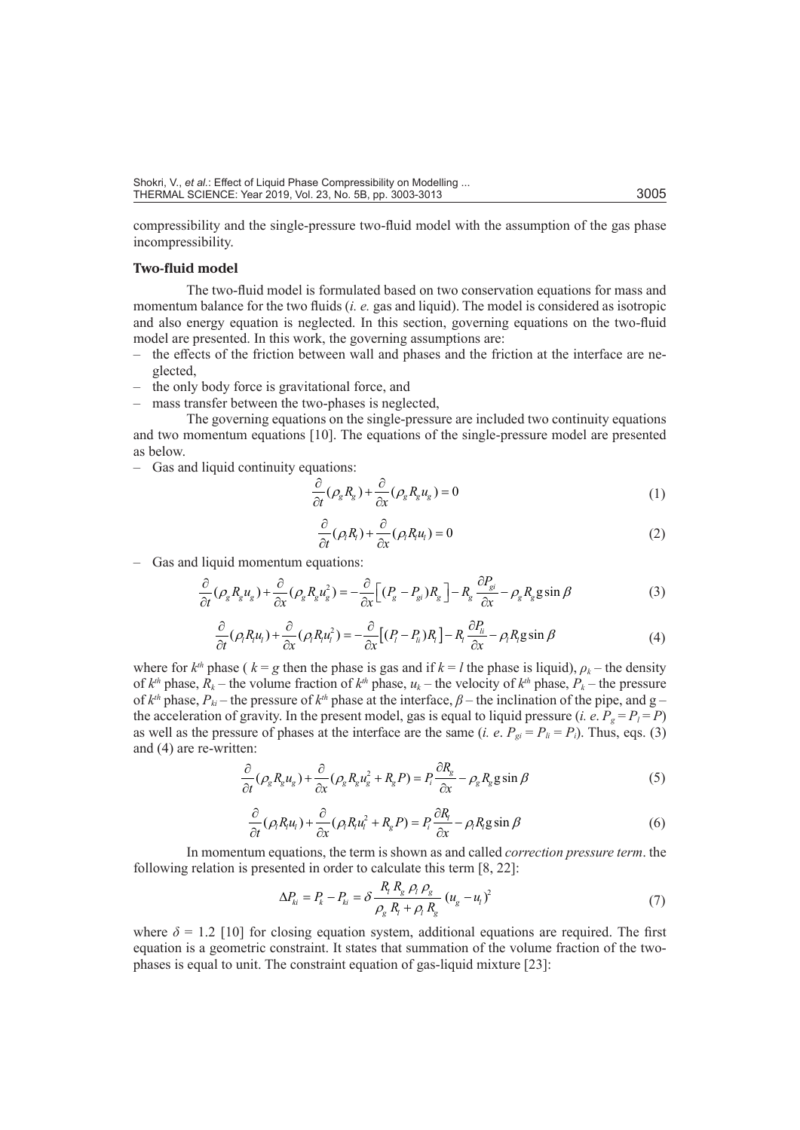compressibility and the single-pressure two-fluid model with the assumption of the gas phase incompressibility.

### **Two-fluid model**

The two-fluid model is formulated based on two conservation equations for mass and momentum balance for the two fluids (*i. e.* gas and liquid). The model is considered as isotropic and also energy equation is neglected. In this section, governing equations on the two-fluid model are presented. In this work, the governing assumptions are:

- the effects of the friction between wall and phases and the friction at the interface are neglected,
- the only body force is gravitational force, and
- mass transfer between the two-phases is neglected,

The governing equations on the single-pressure are included two continuity equations and two momentum equations [10]. The equations of the single-pressure model are presented as below.

– Gas and liquid continuity equations:

$$
\frac{\partial}{\partial t}(\rho_g R_g) + \frac{\partial}{\partial x}(\rho_g R_g u_g) = 0
$$
\n(1)

$$
\frac{\partial}{\partial t}(\rho_l R_l) + \frac{\partial}{\partial x}(\rho_l R_l u_l) = 0
$$
\n(2)

– Gas and liquid momentum equations:

$$
\frac{\partial}{\partial t}(\rho_g R_g u_g) + \frac{\partial}{\partial x}(\rho_g R_g u_g^2) = -\frac{\partial}{\partial x} \Big[ (P_g - P_{gi}) R_g \Big] - R_g \frac{\partial P_{gi}}{\partial x} - \rho_g R_g g \sin \beta \tag{3}
$$

$$
\frac{\partial}{\partial t}(\rho_{i}R_{i}u_{i}) + \frac{\partial}{\partial x}(\rho_{i}R_{i}u_{i}^{2}) = -\frac{\partial}{\partial x}[(P_{i}-P_{i}R_{i})R_{i}] - R_{i}\frac{\partial P_{i}}{\partial x} - \rho_{i}R_{i}g\sin\beta
$$
\n(4)

where for  $k^{th}$  phase ( $k = g$  then the phase is gas and if  $k = l$  the phase is liquid),  $\rho_k$  – the density of  $k^{th}$  phase,  $\overline{R}_k$  – the volume fraction of  $k^{th}$  phase,  $u_k$  – the velocity of  $k^{th}$  phase,  $P_k$  – the pressure of  $k^{th}$  phase,  $P_{ki}$  – the pressure of  $k^{th}$  phase at the interface,  $\beta$  – the inclination of the pipe, and g – the acceleration of gravity. In the present model, gas is equal to liquid pressure (*i. e.*  $P_g = P_l = P$ ) as well as the pressure of phases at the interface are the same (*i. e.*  $P_{gi} = P_i = P_i$ ). Thus, eqs. (3) and (4) are re-written:

$$
\frac{\partial}{\partial t}(\rho_g R_g u_g) + \frac{\partial}{\partial x}(\rho_g R_g u_g^2 + R_g P) = P_i \frac{\partial R_g}{\partial x} - \rho_g R_g g \sin \beta \tag{5}
$$

$$
\frac{\partial}{\partial t}(\rho_1 R_i u_1) + \frac{\partial}{\partial x}(\rho_1 R_i u_1^2 + R_g P) = P_i \frac{\partial R_i}{\partial x} - \rho_1 R_i g \sin \beta \tag{6}
$$

In momentum equations, the term is shown as and called *correction pressure term*. the following relation is presented in order to calculate this term [8, 22]:

$$
\Delta P_{ki} = P_k - P_{ki} = \delta \frac{R_i R_g \rho_l \rho_g}{\rho_g R_i + \rho_l R_g} (u_g - u_l)^2
$$
\n
$$
\tag{7}
$$

where  $\delta = 1.2$  [10] for closing equation system, additional equations are required. The first equation is a geometric constraint. It states that summation of the volume fraction of the twophases is equal to unit. The constraint equation of gas-liquid mixture [23]: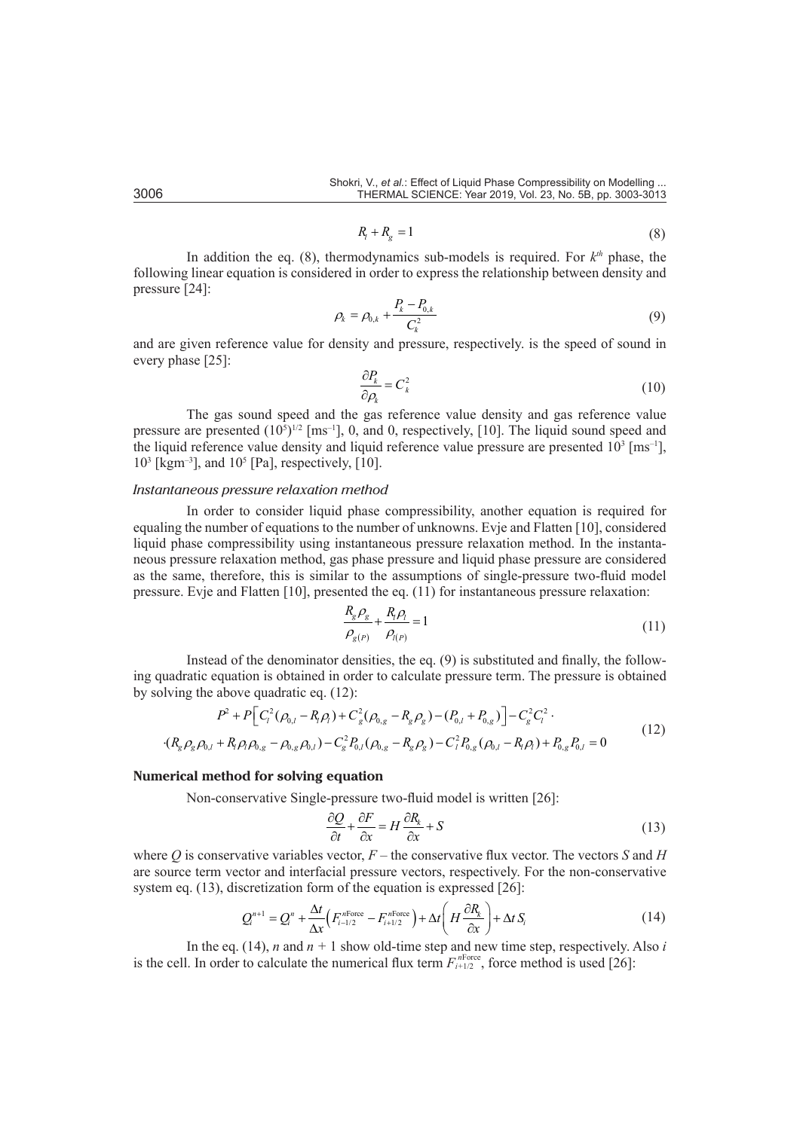$$
R_t + R_g = 1\tag{8}
$$

In addition the eq.  $(8)$ , thermodynamics sub-models is required. For  $k<sup>th</sup>$  phase, the following linear equation is considered in order to express the relationship between density and pressure [24]:

$$
\rho_k = \rho_{0,k} + \frac{P_k - P_{0,k}}{C_k^2} \tag{9}
$$

and are given reference value for density and pressure, respectively. is the speed of sound in every phase [25]:

$$
\frac{\partial P_k}{\partial \rho_k} = C_k^2 \tag{10}
$$

The gas sound speed and the gas reference value density and gas reference value pressure are presented  $(10^5)^{1/2}$  [ms<sup>-1</sup>], 0, and 0, respectively, [10]. The liquid sound speed and the liquid reference value density and liquid reference value pressure are presented  $10^3$  [ms<sup>-1</sup>],  $10^3$  [kgm<sup>-3</sup>], and  $10^5$  [Pa], respectively, [10].

#### *Instantaneous pressure relaxation method*

In order to consider liquid phase compressibility, another equation is required for equaling the number of equations to the number of unknowns. Evje and Flatten [10], considered liquid phase compressibility using instantaneous pressure relaxation method. In the instantaneous pressure relaxation method, gas phase pressure and liquid phase pressure are considered as the same, therefore, this is similar to the assumptions of single-pressure two-fluid model pressure. Evje and Flatten [10], presented the eq. (11) for instantaneous pressure relaxation:

$$
\frac{R_{g}\rho_{g}}{\rho_{g(P)}} + \frac{R_{j}\rho_{l}}{\rho_{l(P)}} = 1
$$
\n(11)

Instead of the denominator densities, the eq. (9) is substituted and finally, the following quadratic equation is obtained in order to calculate pressure term. The pressure is obtained by solving the above quadratic eq. (12):

$$
P^2 + P\Big[C_l^2(\rho_{0,l} - R_l\rho_l) + C_g^2(\rho_{0,g} - R_g\rho_g) - (P_{0,l} + P_{0,g})\Big] - C_g^2 C_l^2 \cdot (R_g\rho_g\rho_{0,l} + R_l\rho_l\rho_{0,g} - \rho_{0,g}\rho_{0,l}) - C_g^2 P_{0,l}(\rho_{0,g} - R_g\rho_g) - C_l^2 P_{0,g}(\rho_{0,l} - R_l\rho_l) + P_{0,g}P_{0,l} = 0
$$
\n(12)

# **Numerical method for solving equation**

Non-conservative Single-pressure two-fluid model is written [26]:

$$
\frac{\partial Q}{\partial t} + \frac{\partial F}{\partial x} = H \frac{\partial R_k}{\partial x} + S \tag{13}
$$

where *Q* is conservative variables vector, *F –* the conservative flux vector. The vectors *S* and *H* are source term vector and interfacial pressure vectors, respectively. For the non-conservative system eq. (13), discretization form of the equation is expressed [26]:

$$
Q_i^{n+1} = Q_i^n + \frac{\Delta t}{\Delta x} \Big( F_{i-1/2}^{n\text{Force}} - F_{i+1/2}^{n\text{Force}} \Big) + \Delta t \Big( H \frac{\partial R_k}{\partial x} \Big) + \Delta t \, S_i \tag{14}
$$

In the eq. (14), *n* and  $n + 1$  show old-time step and new time step, respectively. Also *i* is the cell. In order to calculate the numerical flux term  $F_{i+1/2}^{nForce}$ , force method is used [26]: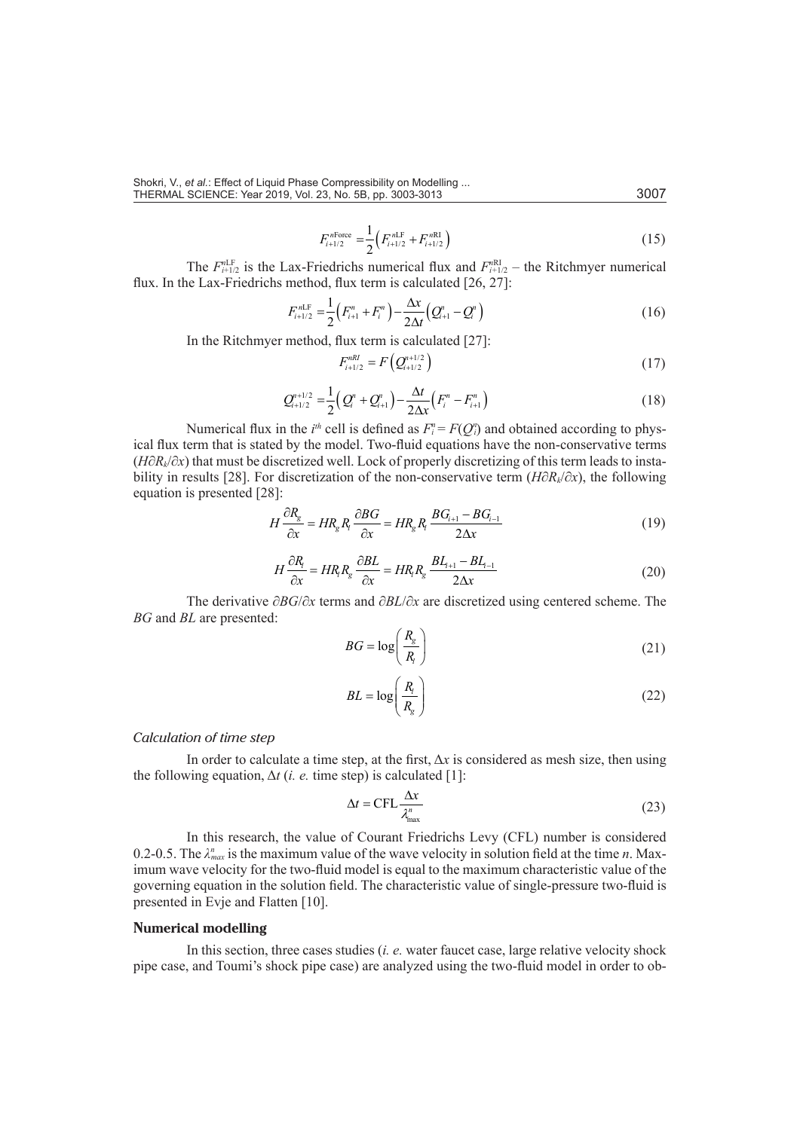$$
F_{i+1/2}^{n\text{Force}} = \frac{1}{2} \Big( F_{i+1/2}^{n\text{LF}} + F_{i+1/2}^{n\text{RI}} \Big) \tag{15}
$$

The  $F_{i+1/2}^{nLF}$  is the Lax-Friedrichs numerical flux and  $F_{i+1/2}^{nRI}$  – the Ritchmyer numerical flux. In the Lax-Friedrichs method, flux term is calculated [26, 27]:

$$
F_{i+1/2}^{nLF} = \frac{1}{2} \left( F_{i+1}^n + F_i^n \right) - \frac{\Delta x}{2\Delta t} \left( Q_{i+1}^n - Q_i^n \right) \tag{16}
$$

In the Ritchmyer method, flux term is calculated [27]:

$$
F_{i+1/2}^{nRI} = F\left(Q_{i+1/2}^{n+1/2}\right) \tag{17}
$$

$$
Q_{i+1/2}^{n+1/2} = \frac{1}{2} \Big( Q_i^n + Q_{i+1}^n \Big) - \frac{\Delta t}{2\Delta x} \Big( F_i^n - F_{i+1}^n \Big) \tag{18}
$$

Numerical flux in the  $i^{th}$  cell is defined as  $F_i^n = F(Q_i^n)$  and obtained according to physical flux term that is stated by the model. Two-fluid equations have the non-conservative terms (*H*∂*Rk*/∂*x*) that must be discretized well. Lock of properly discretizing of this term leads to instability in results [28]. For discretization of the non-conservative term (*H*∂*Rk*/∂*x*), the following equation is presented [28]:

$$
H\frac{\partial R_g}{\partial x} = HR_g R_i \frac{\partial BG}{\partial x} = HR_g R_i \frac{BG_{i+1} - BG_{i-1}}{2\Delta x}
$$
(19)

$$
H\frac{\partial R_i}{\partial x} = HR_i R_g \frac{\partial BL}{\partial x} = HR_i R_g \frac{BL_{i+1} - BL_{i-1}}{2\Delta x}
$$
(20)

The derivative ∂*BG*/∂*x* terms and ∂*BL*/∂*x* are discretized using centered scheme. The *BG* and *BL* are presented:

$$
BG = \log\left(\frac{R_g}{R_i}\right) \tag{21}
$$

$$
BL = \log\left(\frac{R_i}{R_g}\right) \tag{22}
$$

#### *Calculation of time step*

In order to calculate a time step, at the first,  $\Delta x$  is considered as mesh size, then using the following equation,  $\Delta t$  (*i. e.* time step) is calculated [1]:

$$
\Delta t = \text{CFL} \frac{\Delta x}{\lambda_{\text{max}}^n} \tag{23}
$$

In this research, the value of Courant Friedrichs Levy (CFL) number is considered 0.2-0.5. The  $\lambda_{max}^n$  is the maximum value of the wave velocity in solution field at the time *n*. Maximum wave velocity for the two-fluid model is equal to the maximum characteristic value of the governing equation in the solution field. The characteristic value of single-pressure two-fluid is presented in Evje and Flatten [10].

#### **Numerical modelling**

In this section, three cases studies (*i. e.* water faucet case, large relative velocity shock pipe case, and Toumi's shock pipe case) are analyzed using the two-fluid model in order to ob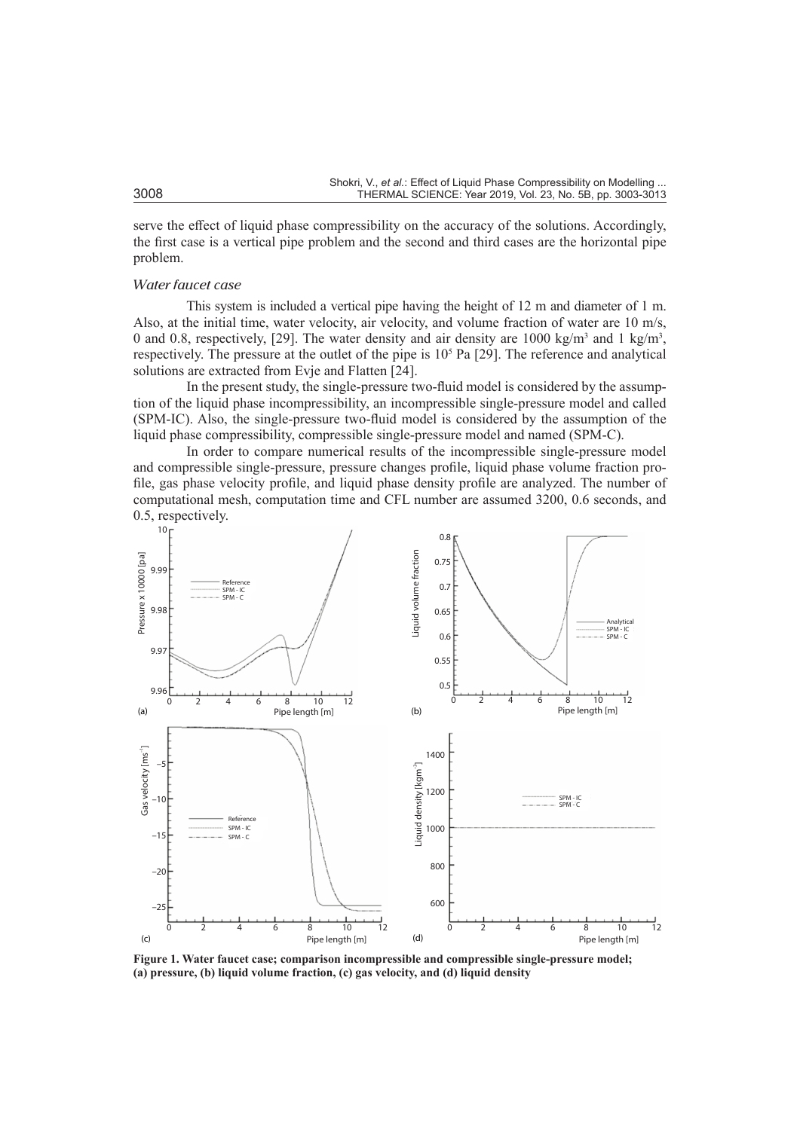serve the effect of liquid phase compressibility on the accuracy of the solutions. Accordingly, the first case is a vertical pipe problem and the second and third cases are the horizontal pipe problem.

# *Water faucet case*

This system is included a vertical pipe having the height of 12 m and diameter of 1 m. Also, at the initial time, water velocity, air velocity, and volume fraction of water are 10 m/s, 0 and 0.8, respectively, [29]. The water density and air density are 1000 kg/m<sup>3</sup> and 1 kg/m<sup>3</sup>, respectively. The pressure at the outlet of the pipe is  $10<sup>5</sup>$  Pa [29]. The reference and analytical solutions are extracted from Evje and Flatten [24].

In the present study, the single-pressure two-fluid model is considered by the assumption of the liquid phase incompressibility, an incompressible single-pressure model and called (SPM-IC). Also, the single-pressure two-fluid model is considered by the assumption of the liquid phase compressibility, compressible single-pressure model and named (SPM-C).

In order to compare numerical results of the incompressible single-pressure model and compressible single-pressure, pressure changes profile, liquid phase volume fraction profile, gas phase velocity profile, and liquid phase density profile are analyzed. The number of computational mesh, computation time and CFL number are assumed 3200, 0.6 seconds, and 0.5, respectively.



**Figure 1. Water faucet case; comparison incompressible and compressible single-pressure model; (a) pressure, (b) liquid volume fraction, (c) gas velocity, and (d) liquid density**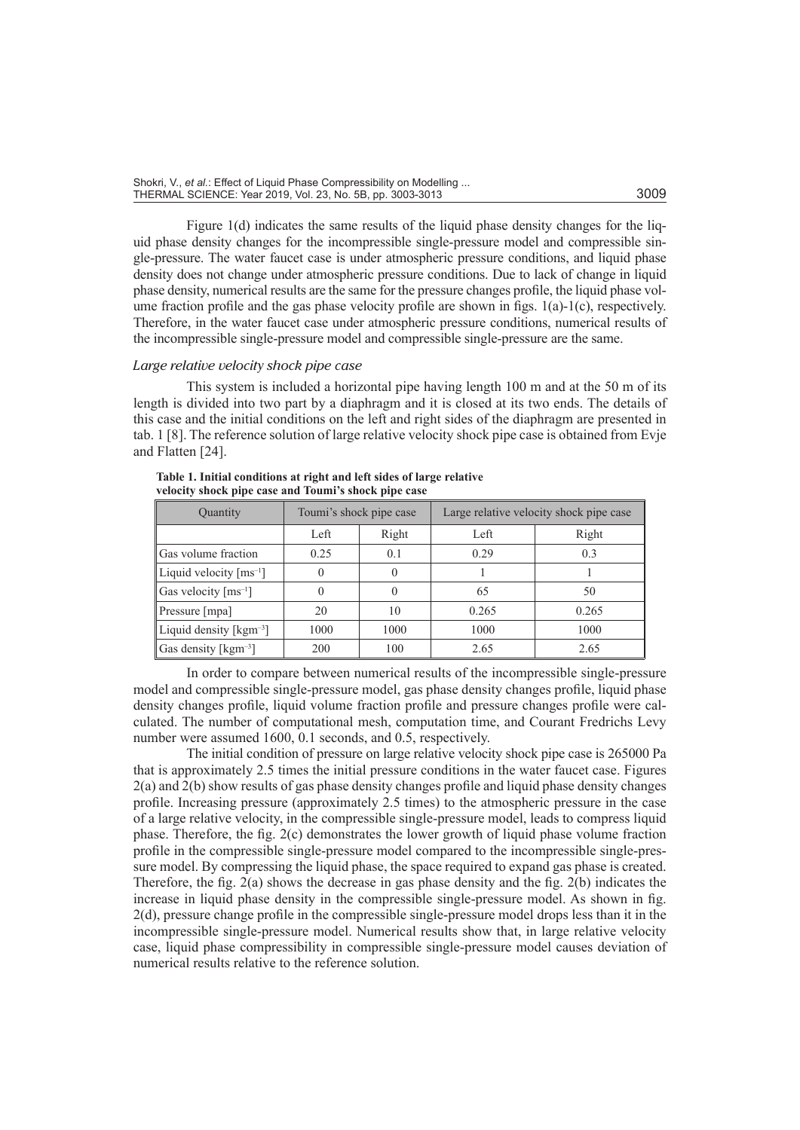| Shokri, V., et al.: Effect of Liquid Phase Compressibility on Modelling |      |
|-------------------------------------------------------------------------|------|
| THERMAL SCIENCE: Year 2019, Vol. 23, No. 5B, pp. 3003-3013              | 3009 |

Figure 1(d) indicates the same results of the liquid phase density changes for the liquid phase density changes for the incompressible single-pressure model and compressible single-pressure. The water faucet case is under atmospheric pressure conditions, and liquid phase density does not change under atmospheric pressure conditions. Due to lack of change in liquid phase density, numerical results are the same for the pressure changes profile, the liquid phase volume fraction profile and the gas phase velocity profile are shown in figs. 1(a)-1(c), respectively. Therefore, in the water faucet case under atmospheric pressure conditions, numerical results of the incompressible single-pressure model and compressible single-pressure are the same.

# *Large relative velocity shock pipe case*

This system is included a horizontal pipe having length 100 m and at the 50 m of its length is divided into two part by a diaphragm and it is closed at its two ends. The details of this case and the initial conditions on the left and right sides of the diaphragm are presented in tab. 1 [8]. The reference solution of large relative velocity shock pipe case is obtained from Evje and Flatten [24].

| Quantity                                | Toumi's shock pipe case |                  | Large relative velocity shock pipe case |       |
|-----------------------------------------|-------------------------|------------------|-----------------------------------------|-------|
|                                         | Left                    | Right            | Left                                    | Right |
| Gas volume fraction                     | 0.25                    | 0.1              | 0.29                                    | 0.3   |
| Liquid velocity $\lceil ms^{-1} \rceil$ |                         | $\left( \right)$ |                                         |       |
| Gas velocity $\lceil ms^{-1} \rceil$    |                         |                  | 65                                      | 50    |
| Pressure [mpa]                          | 20                      | 10               | 0.265                                   | 0.265 |
| Liquid density [ $kgm^{-3}$ ]           | 1000                    | 1000             | 1000                                    | 1000  |
| Gas density [ $\text{kgm}^{-3}$ ]       | 200                     | 100              | 2.65                                    | 2.65  |

**Table 1. Initial conditions at right and left sides of large relative velocity shock pipe case and Toumi's shock pipe case**

In order to compare between numerical results of the incompressible single-pressure model and compressible single-pressure model, gas phase density changes profile, liquid phase density changes profile, liquid volume fraction profile and pressure changes profile were calculated. The number of computational mesh, computation time, and Courant Fredrichs Levy number were assumed 1600, 0.1 seconds, and 0.5, respectively.

The initial condition of pressure on large relative velocity shock pipe case is 265000 Pa that is approximately 2.5 times the initial pressure conditions in the water faucet case. Figures 2(a) and 2(b) show results of gas phase density changes profile and liquid phase density changes profile. Increasing pressure (approximately 2.5 times) to the atmospheric pressure in the case of a large relative velocity, in the compressible single-pressure model, leads to compress liquid phase. Therefore, the fig. 2(c) demonstrates the lower growth of liquid phase volume fraction profile in the compressible single-pressure model compared to the incompressible single-pressure model. By compressing the liquid phase, the space required to expand gas phase is created. Therefore, the fig. 2(a) shows the decrease in gas phase density and the fig. 2(b) indicates the increase in liquid phase density in the compressible single-pressure model. As shown in fig. 2(d), pressure change profile in the compressible single-pressure model drops less than it in the incompressible single-pressure model. Numerical results show that, in large relative velocity case, liquid phase compressibility in compressible single-pressure model causes deviation of numerical results relative to the reference solution.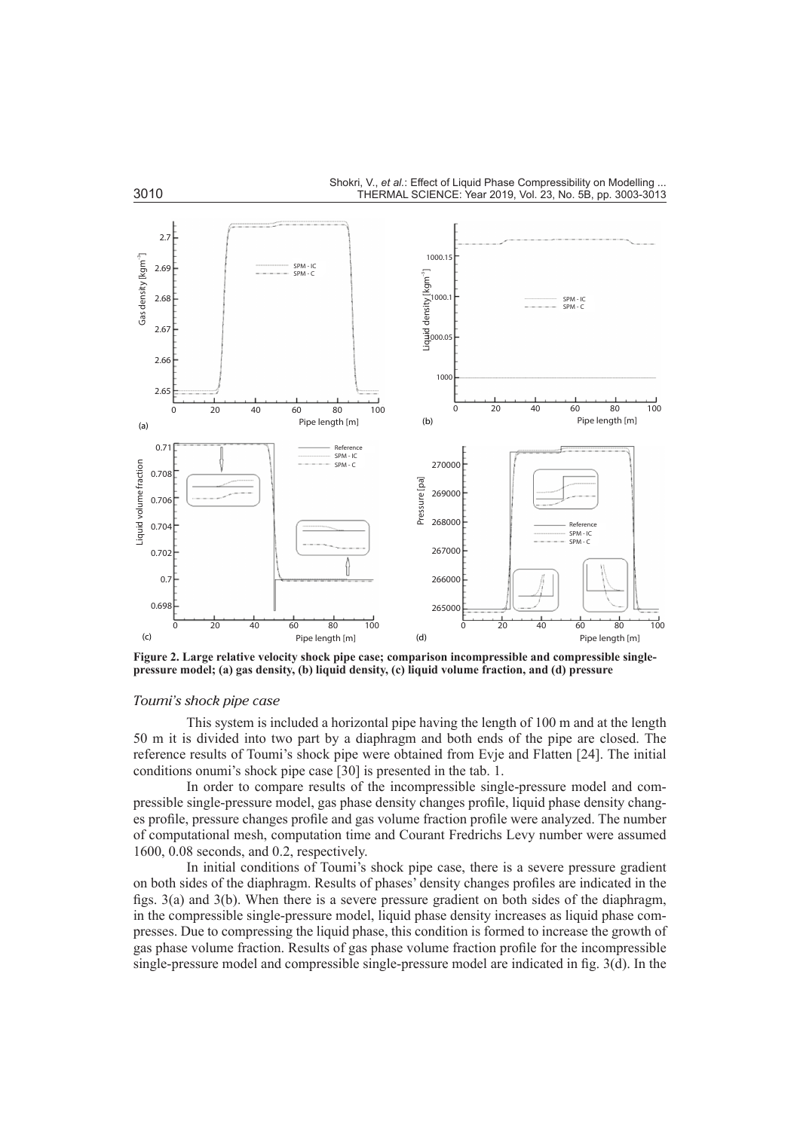

**Figure 2. Large relative velocity shock pipe case; comparison incompressible and compressible singlepressure model; (a) gas density, (b) liquid density, (c) liquid volume fraction, and (d) pressure** 

# *Toumi's shock pipe case*

This system is included a horizontal pipe having the length of 100 m and at the length 50 m it is divided into two part by a diaphragm and both ends of the pipe are closed. The reference results of Toumi's shock pipe were obtained from Evje and Flatten [24]. The initial conditions onumi's shock pipe case [30] is presented in the tab. 1.

In order to compare results of the incompressible single-pressure model and compressible single-pressure model, gas phase density changes profile, liquid phase density changes profile, pressure changes profile and gas volume fraction profile were analyzed. The number of computational mesh, computation time and Courant Fredrichs Levy number were assumed 1600, 0.08 seconds, and 0.2, respectively.

In initial conditions of Toumi's shock pipe case, there is a severe pressure gradient on both sides of the diaphragm. Results of phases' density changes profiles are indicated in the figs. 3(a) and 3(b). When there is a severe pressure gradient on both sides of the diaphragm, in the compressible single-pressure model, liquid phase density increases as liquid phase compresses. Due to compressing the liquid phase, this condition is formed to increase the growth of gas phase volume fraction. Results of gas phase volume fraction profile for the incompressible single-pressure model and compressible single-pressure model are indicated in fig. 3(d). In the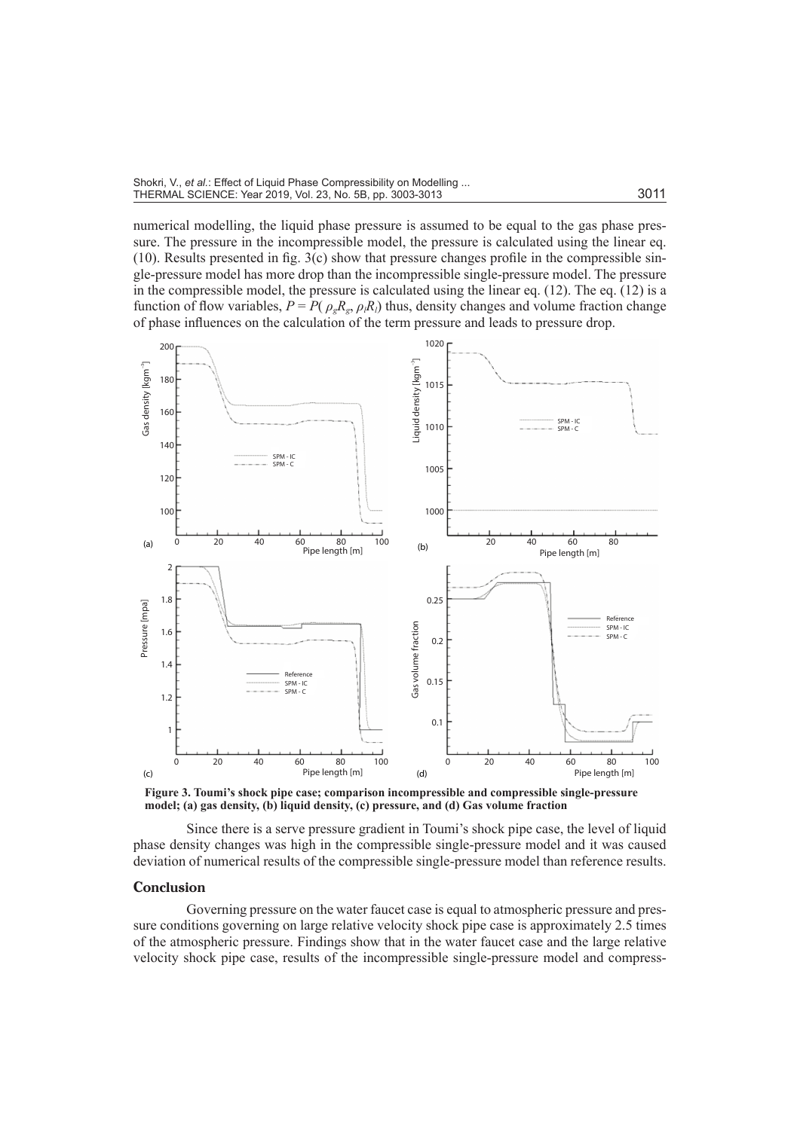numerical modelling, the liquid phase pressure is assumed to be equal to the gas phase pressure. The pressure in the incompressible model, the pressure is calculated using the linear eq. (10). Results presented in fig. 3(c) show that pressure changes profile in the compressible single-pressure model has more drop than the incompressible single-pressure model. The pressure in the compressible model, the pressure is calculated using the linear eq.  $(12)$ . The eq.  $(12)$  is a function of flow variables,  $P = P(\rho_g R_g, \rho_l R_l)$  thus, density changes and volume fraction change of phase influences on the calculation of the term pressure and leads to pressure drop.



**Figure 3. Toumi's shock pipe case; comparison incompressible and compressible single-pressure model; (a) gas density, (b) liquid density, (c) pressure, and (d) Gas volume fraction**

Since there is a serve pressure gradient in Toumi's shock pipe case, the level of liquid phase density changes was high in the compressible single-pressure model and it was caused deviation of numerical results of the compressible single-pressure model than reference results.

### **Conclusion**

Governing pressure on the water faucet case is equal to atmospheric pressure and pressure conditions governing on large relative velocity shock pipe case is approximately 2.5 times of the atmospheric pressure. Findings show that in the water faucet case and the large relative velocity shock pipe case, results of the incompressible single-pressure model and compress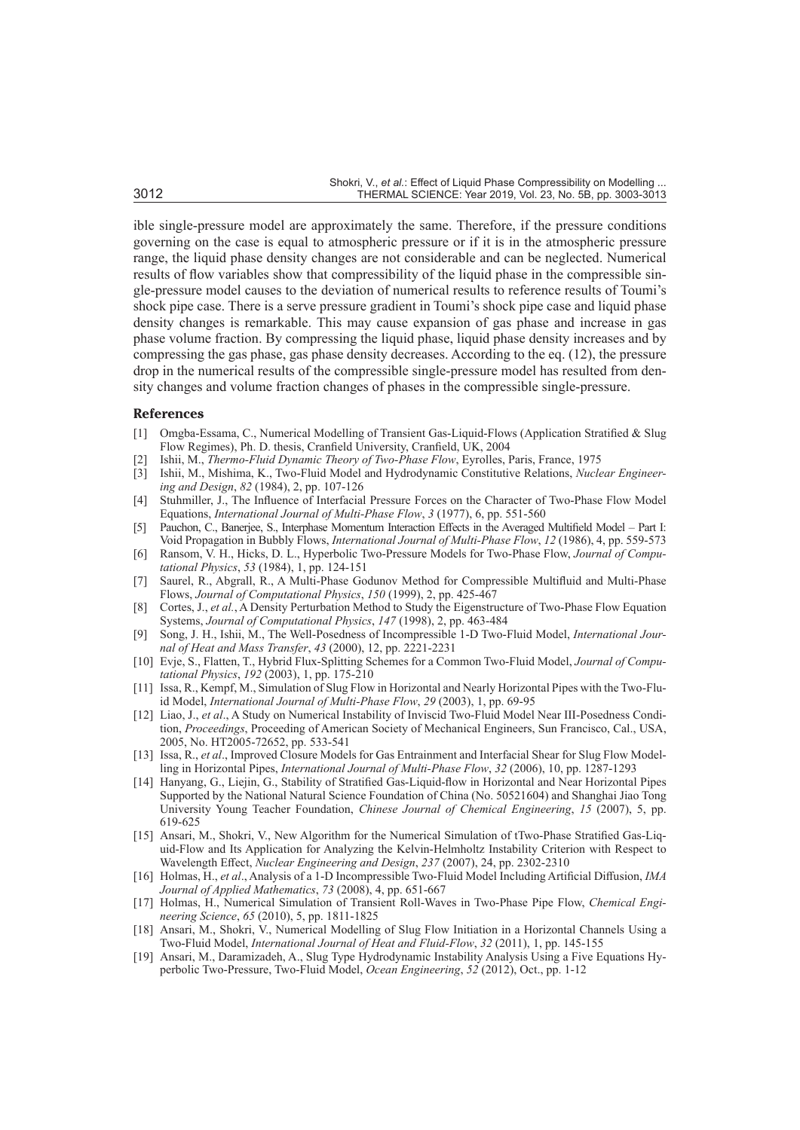ible single-pressure model are approximately the same. Therefore, if the pressure conditions governing on the case is equal to atmospheric pressure or if it is in the atmospheric pressure range, the liquid phase density changes are not considerable and can be neglected. Numerical results of flow variables show that compressibility of the liquid phase in the compressible single-pressure model causes to the deviation of numerical results to reference results of Toumi's shock pipe case. There is a serve pressure gradient in Toumi's shock pipe case and liquid phase density changes is remarkable. This may cause expansion of gas phase and increase in gas phase volume fraction. By compressing the liquid phase, liquid phase density increases and by compressing the gas phase, gas phase density decreases. According to the eq. (12), the pressure drop in the numerical results of the compressible single-pressure model has resulted from density changes and volume fraction changes of phases in the compressible single-pressure.

#### **References**

- [1] Omgba-Essama, C., Numerical Modelling of Transient Gas-Liquid-Flows (Application Stratified & Slug Flow Regimes), Ph. D. thesis, Cranfield University, Cranfield, UK, 2004
- [2] Ishii, M., *Thermo-Fluid Dynamic Theory of Two-Phase Flow*, Eyrolles, Paris, France, 1975
- [3] Ishii, M., Mishima, K., Two-Fluid Model and Hydrodynamic Constitutive Relations, *Nuclear Engineering and Design*, *82* (1984), 2, pp. 107-126
- [4] Stuhmiller, J., The Influence of Interfacial Pressure Forces on the Character of Two-Phase Flow Model Equations, *International Journal of Multi-Phase Flow*, *3* (1977), 6, pp. 551-560
- [5] Pauchon, C., Banerjee, S., Interphase Momentum Interaction Effects in the Averaged Multifield Model Part I: Void Propagation in Bubbly Flows, *International Journal of Multi-Phase Flow*, *12* (1986), 4, pp. 559-573
- [6] Ransom, V. H., Hicks, D. L., Hyperbolic Two-Pressure Models for Two-Phase Flow, *Journal of Computational Physics*, *53* (1984), 1, pp. 124-151
- [7] Saurel, R., Abgrall, R., A Multi-Phase Godunov Method for Compressible Multifluid and Multi-Phase Flows, *Journal of Computational Physics*, *150* (1999), 2, pp. 425-467
- [8] Cortes, J., *et al.*, A Density Perturbation Method to Study the Eigenstructure of Two-Phase Flow Equation Systems, *Journal of Computational Physics*, *147* (1998), 2, pp. 463-484
- [9] Song, J. H., Ishii, M., The Well-Posedness of Incompressible 1-D Two-Fluid Model, *International Journal of Heat and Mass Transfer*, *43* (2000), 12, pp. 2221-2231
- [10] Evje, S., Flatten, T., Hybrid Flux-Splitting Schemes for a Common Two-Fluid Model, *Journal of Computational Physics*, *192* (2003), 1, pp. 175-210
- [11] Issa, R., Kempf, M., Simulation of Slug Flow in Horizontal and Nearly Horizontal Pipes with the Two-Fluid Model, *International Journal of Multi-Phase Flow*, *29* (2003), 1, pp. 69-95
- [12] Liao, J., *et al*., A Study on Numerical Instability of Inviscid Two-Fluid Model Near III-Posedness Condition, *Proceedings*, Proceeding of American Society of Mechanical Engineers, Sun Francisco, Cal., USA, 2005, No. HT2005-72652, pp. 533-541
- [13] Issa, R., *et al*., Improved Closure Models for Gas Entrainment and Interfacial Shear for Slug Flow Modelling in Horizontal Pipes, *International Journal of Multi-Phase Flow*, *32* (2006), 10, pp. 1287-1293
- [14] Hanyang, G., Liejin, G., Stability of Stratified Gas-Liquid-flow in Horizontal and Near Horizontal Pipes Supported by the National Natural Science Foundation of China (No. 50521604) and Shanghai Jiao Tong University Young Teacher Foundation, *Chinese Journal of Chemical Engineering*, *15* (2007), 5, pp. 619-625
- [15] Ansari, M., Shokri, V., New Algorithm for the Numerical Simulation of tTwo-Phase Stratified Gas-Liquid-Flow and Its Application for Analyzing the Kelvin-Helmholtz Instability Criterion with Respect to Wavelength Effect, *Nuclear Engineering and Design*, *237* (2007), 24, pp. 2302-2310
- [16] Holmas, H., *et al*., Analysis of a 1-D Incompressible Two-Fluid Model Including Artificial Diffusion, *IMA Journal of Applied Mathematics*, *73* (2008), 4, pp. 651-667
- [17] Holmas, H., Numerical Simulation of Transient Roll-Waves in Two-Phase Pipe Flow, *Chemical Engineering Science*, *65* (2010), 5, pp. 1811-1825
- [18] Ansari, M., Shokri, V., Numerical Modelling of Slug Flow Initiation in a Horizontal Channels Using a Two-Fluid Model, *International Journal of Heat and Fluid-Flow*, *32* (2011), 1, pp. 145-155
- [19] Ansari, M., Daramizadeh, A., Slug Type Hydrodynamic Instability Analysis Using a Five Equations Hyperbolic Two-Pressure, Two-Fluid Model, *Ocean Engineering*, *52* (2012), Oct., pp. 1-12